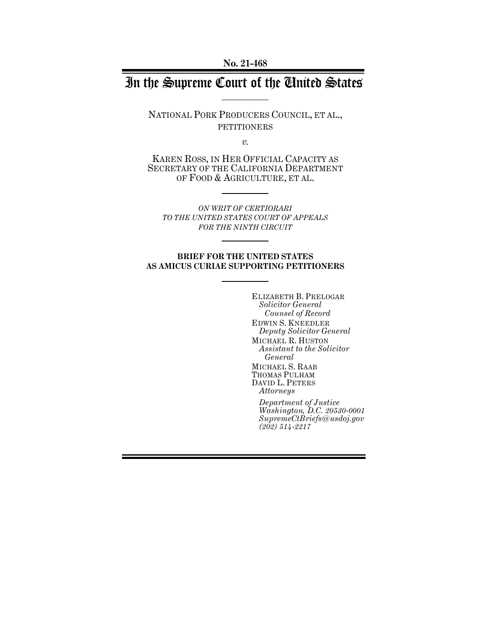**No. 21-468**

# In the Supreme Court of the United States

NATIONAL PORK PRODUCERS COUNCIL, ET AL., PETITIONERS

*v.*

KAREN ROSS, IN HER OFFICIAL CAPACITY AS SECRETARY OF THE CALIFORNIA DEPARTMENT OF FOOD & AGRICULTURE, ET AL.

*ON WRIT OF CERTIORARI TO THE UNITED STATES COURT OF APPEALS FOR THE NINTH CIRCUIT*

#### **BRIEF FOR THE UNITED STATES AS AMICUS CURIAE SUPPORTING PETITIONERS**

ELIZABETH B. PRELOGAR *Solicitor General Counsel of Record* EDWIN S. KNEEDLER *Deputy Solicitor General* MICHAEL R. HUSTON *Assistant to the Solicitor General* MICHAEL S. RAAB THOMAS PULHAM DAVID L. PETERS *Attorneys*

*Department of Justice Washington, D.C. 20530-0001 SupremeCtBriefs@usdoj.gov (202) 514-2217*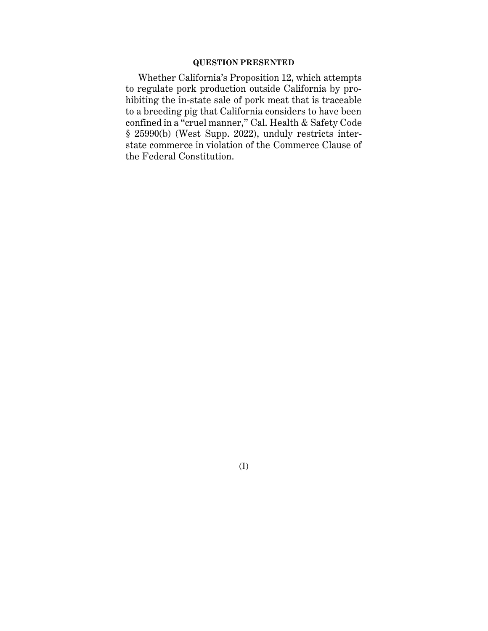### **QUESTION PRESENTED**

Whether California's Proposition 12, which attempts to regulate pork production outside California by prohibiting the in-state sale of pork meat that is traceable to a breeding pig that California considers to have been confined in a "cruel manner," Cal. Health & Safety Code § 25990(b) (West Supp. 2022), unduly restricts interstate commerce in violation of the Commerce Clause of the Federal Constitution.

(I)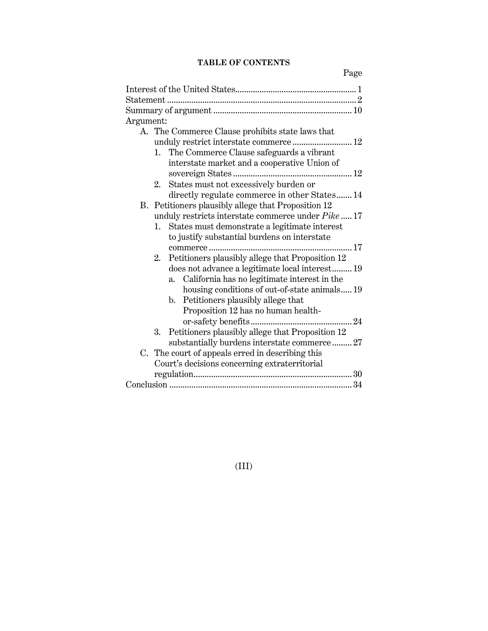## **TABLE OF CONTENTS**

| Argument:                                              |
|--------------------------------------------------------|
| A. The Commerce Clause prohibits state laws that       |
| unduly restrict interstate commerce 12                 |
| 1. The Commerce Clause safeguards a vibrant            |
| interstate market and a cooperative Union of           |
|                                                        |
| States must not excessively burden or<br>2.            |
| directly regulate commerce in other States 14          |
| B. Petitioners plausibly allege that Proposition 12    |
| unduly restricts interstate commerce under Pike  17    |
| 1. States must demonstrate a legitimate interest       |
| to justify substantial burdens on interstate           |
|                                                        |
| Petitioners plausibly allege that Proposition 12<br>2. |
| does not advance a legitimate local interest 19        |
| California has no legitimate interest in the<br>a.     |
| housing conditions of out-of-state animals 19          |
| Petitioners plausibly allege that<br>b.                |
| Proposition 12 has no human health-                    |
|                                                        |
| Petitioners plausibly allege that Proposition 12<br>3. |
| substantially burdens interstate commerce 27           |
| C. The court of appeals erred in describing this       |
| Court's decisions concerning extraterritorial          |
|                                                        |
|                                                        |

(III)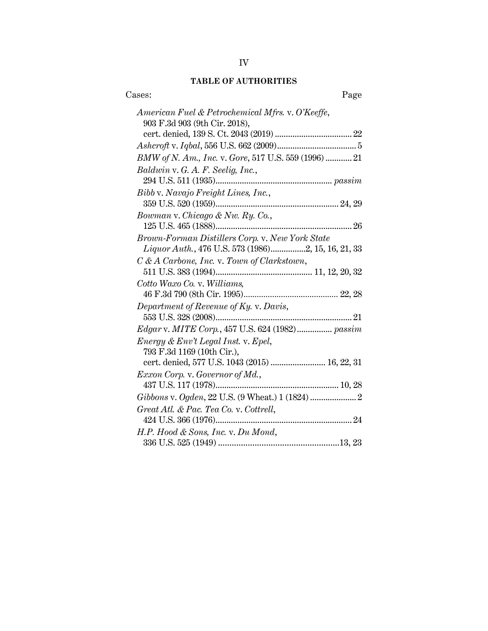## **TABLE OF AUTHORITIES**

| Cases:<br>Page                                                                    |
|-----------------------------------------------------------------------------------|
| American Fuel & Petrochemical Mfrs. v. O'Keeffe,<br>903 F.3d 903 (9th Cir. 2018), |
|                                                                                   |
|                                                                                   |
| BMW of N. Am., Inc. v. Gore, 517 U.S. 559 (1996)  21                              |
| Baldwin v. G. A. F. Seelig, Inc.,                                                 |
|                                                                                   |
| Bibb v. Navajo Freight Lines, Inc.,                                               |
|                                                                                   |
| Bowman v. Chicago & Nw. Ry. Co.,                                                  |
|                                                                                   |
| Brown-Forman Distillers Corp. v. New York State                                   |
| <i>Liquor Auth.</i> , 476 U.S. 573 (1986)2, 15, 16, 21, 33                        |
| C & A Carbone, Inc. v. Town of Clarkstown,                                        |
|                                                                                   |
| Cotto Waxo Co. v. Williams,                                                       |
|                                                                                   |
| Department of Revenue of Ky. v. Davis,                                            |
|                                                                                   |
| Edgar v. MITE Corp., 457 U.S. 624 (1982) passim                                   |
| Energy & Env't Legal Inst. v. Epel,                                               |
| 793 F.3d 1169 (10th Cir.),                                                        |
| cert. denied, 577 U.S. 1043 (2015)  16, 22, 31                                    |
| Exxon Corp. v. Governor of Md.,                                                   |
|                                                                                   |
|                                                                                   |
| Great Atl. & Pac. Tea Co. v. Cottrell,                                            |
|                                                                                   |
| H.P. Hood & Sons, Inc. v. Du Mond,                                                |
|                                                                                   |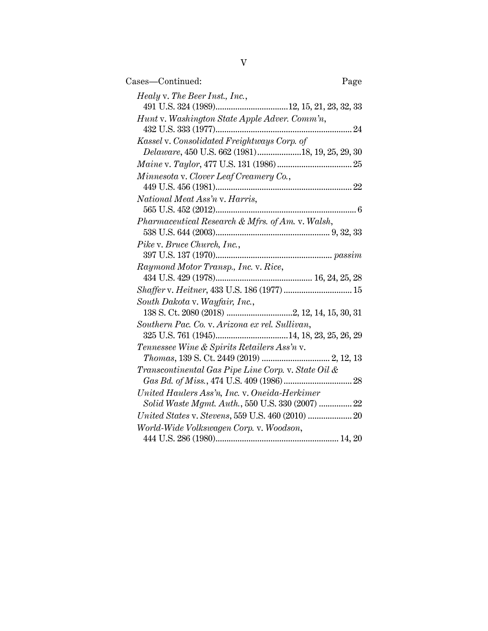| Cases—Continued:<br>Page                                                                                                   |
|----------------------------------------------------------------------------------------------------------------------------|
| Healy v. The Beer Inst., Inc.,                                                                                             |
| Hunt v. Washington State Apple Adver. Comm'n,                                                                              |
| Kassel v. Consolidated Freightways Corp. of<br>Delaware, 450 U.S. 662 (1981)18, 19, 25, 29, 30                             |
| $\label{eq:main} \textit{Maine v. Taylor, 477 U.S. 131 (1986)}. \vspace{-0.1in}$                                           |
| Minnesota v. Clover Leaf Creamery Co.,                                                                                     |
| National Meat Ass'n v. Harris,                                                                                             |
| Pharmaceutical Research & Mfrs. of Am. v. Walsh,                                                                           |
| Pike v. Bruce Church, Inc.,                                                                                                |
| Raymond Motor Transp., Inc. v. Rice,                                                                                       |
| Shaffer v. Heitner, 433 U.S. 186 (1977)  15                                                                                |
| South Dakota v. Wayfair, Inc.,                                                                                             |
| Southern Pac. Co. v. Arizona ex rel. Sullivan,                                                                             |
| Tennessee Wine & Spirits Retailers Ass'n v.<br>$\label{thm:main} Thomas,\,139\;{\rm S.\;Ct.\,2449}\; (2019)\;2, \,12,\,13$ |
| Transcontinental Gas Pipe Line Corp. v. State Oil &                                                                        |
| United Haulers Ass'n, Inc. v. Oneida-Herkimer<br>Solid Waste Mgmt. Auth., 550 U.S. 330 (2007)  22                          |
|                                                                                                                            |
| World-Wide Volkswagen Corp. v. Woodson,                                                                                    |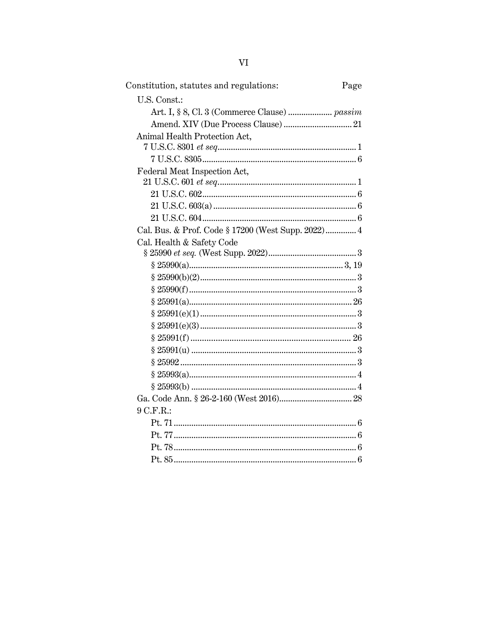| Constitution, statutes and regulations:            | Page |
|----------------------------------------------------|------|
| U.S. Const.:                                       |      |
|                                                    |      |
|                                                    |      |
| Animal Health Protection Act,                      |      |
|                                                    |      |
|                                                    |      |
| Federal Meat Inspection Act,                       |      |
|                                                    |      |
|                                                    |      |
|                                                    |      |
|                                                    |      |
| Cal. Bus. & Prof. Code § 17200 (West Supp. 2022) 4 |      |
| Cal. Health & Safety Code                          |      |
|                                                    |      |
|                                                    |      |
|                                                    |      |
|                                                    |      |
|                                                    |      |
|                                                    |      |
|                                                    |      |
|                                                    |      |
|                                                    |      |
|                                                    |      |
|                                                    |      |
|                                                    |      |
|                                                    |      |
| 9 C.F.R.:                                          |      |
|                                                    |      |
|                                                    |      |
|                                                    |      |
|                                                    |      |
|                                                    |      |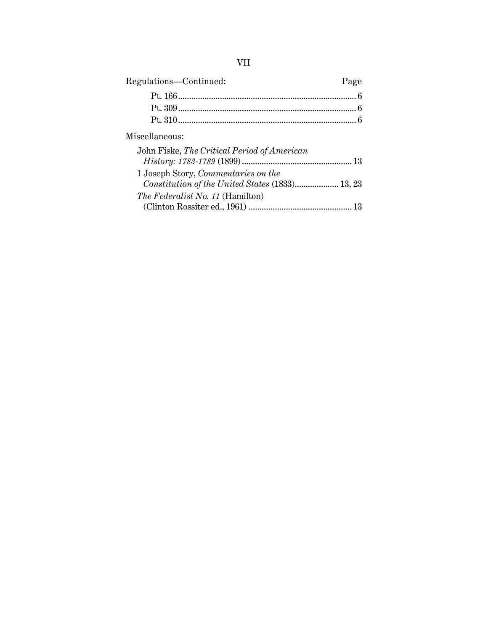| ×,<br>×, |
|----------|
|          |

| Regulations-Continued:                      | Page |
|---------------------------------------------|------|
|                                             |      |
|                                             |      |
|                                             |      |
| Miscellaneous:                              |      |
| John Fiske, The Critical Period of American |      |
| 1 Joseph Story, Commentaries on the         |      |
| The Federalist No. 11 (Hamilton)            |      |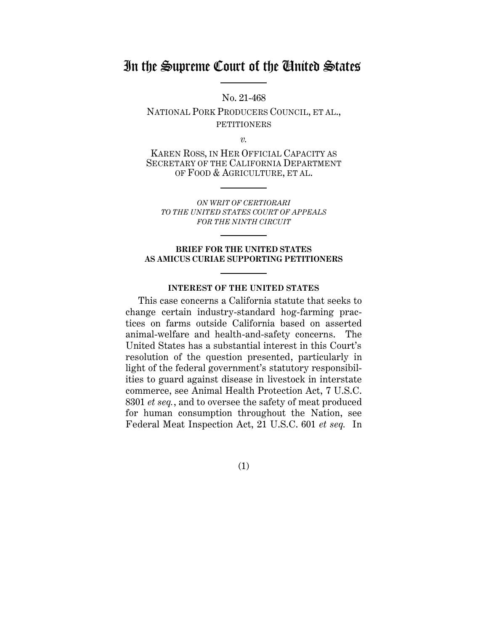## In the Supreme Court of the United States

No. 21-468

NATIONAL PORK PRODUCERS COUNCIL, ET AL., **PETITIONERS** 

*v.*

KAREN ROSS, IN HER OFFICIAL CAPACITY AS SECRETARY OF THE CALIFORNIA DEPARTMENT OF FOOD & AGRICULTURE, ET AL.

*ON WRIT OF CERTIORARI TO THE UNITED STATES COURT OF APPEALS FOR THE NINTH CIRCUIT*

#### **BRIEF FOR THE UNITED STATES AS AMICUS CURIAE SUPPORTING PETITIONERS**

#### **INTEREST OF THE UNITED STATES**

<span id="page-7-0"></span>This case concerns a California statute that seeks to change certain industry-standard hog-farming practices on farms outside California based on asserted animal-welfare and health-and-safety concerns. The United States has a substantial interest in this Court's resolution of the question presented, particularly in light of the federal government's statutory responsibilities to guard against disease in livestock in interstate commerce, see Animal Health Protection Act, 7 U.S.C. 8301 *et seq.*, and to oversee the safety of meat produced for human consumption throughout the Nation, see Federal Meat Inspection Act, 21 U.S.C. 601 *et seq.* In

(1)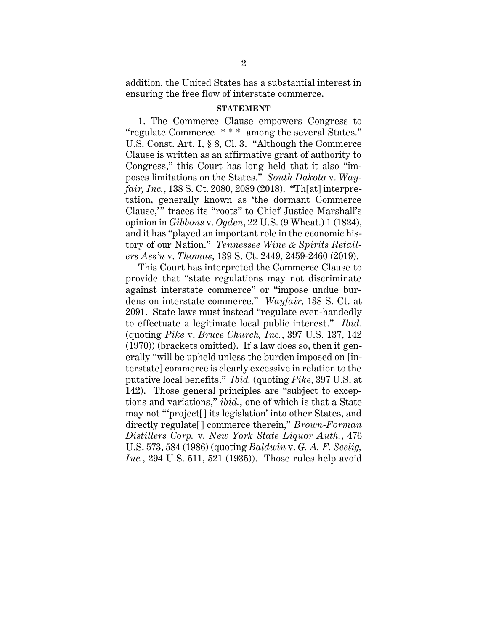addition, the United States has a substantial interest in ensuring the free flow of interstate commerce.

#### **STATEMENT**

<span id="page-8-0"></span>1. The Commerce Clause empowers Congress to "regulate Commerce \* \* \* among the several States." U.S. Const. Art. I, § 8, Cl. 3. "Although the Commerce Clause is written as an affirmative grant of authority to Congress," this Court has long held that it also "imposes limitations on the States." *South Dakota* v. *Wayfair, Inc.*, 138 S. Ct. 2080, 2089 (2018). "Th[at] interpretation, generally known as 'the dormant Commerce Clause,'" traces its "roots" to Chief Justice Marshall's opinion in *Gibbons* v. *Ogden*, 22 U.S. (9 Wheat.) 1 (1824), and it has "played an important role in the economic history of our Nation." *Tennessee Wine & Spirits Retailers Ass'n* v. *Thomas*, 139 S. Ct. 2449, 2459-2460 (2019).

This Court has interpreted the Commerce Clause to provide that "state regulations may not discriminate against interstate commerce" or "impose undue burdens on interstate commerce." *Wayfair*, 138 S. Ct. at 2091. State laws must instead "regulate even-handedly to effectuate a legitimate local public interest." *Ibid.* (quoting *Pike* v. *Bruce Church, Inc.*, 397 U.S. 137, 142 (1970)) (brackets omitted). If a law does so, then it generally "will be upheld unless the burden imposed on [interstate] commerce is clearly excessive in relation to the putative local benefits." *Ibid.* (quoting *Pike*, 397 U.S. at 142). Those general principles are "subject to exceptions and variations," *ibid.*, one of which is that a State may not "'project[] its legislation' into other States, and directly regulate[] commerce therein," *Brown-Forman Distillers Corp.* v. *New York State Liquor Auth.*, 476 U.S. 573, 584 (1986) (quoting *Baldwin* v. *G. A. F. Seelig, Inc.*, 294 U.S. 511, 521 (1935)). Those rules help avoid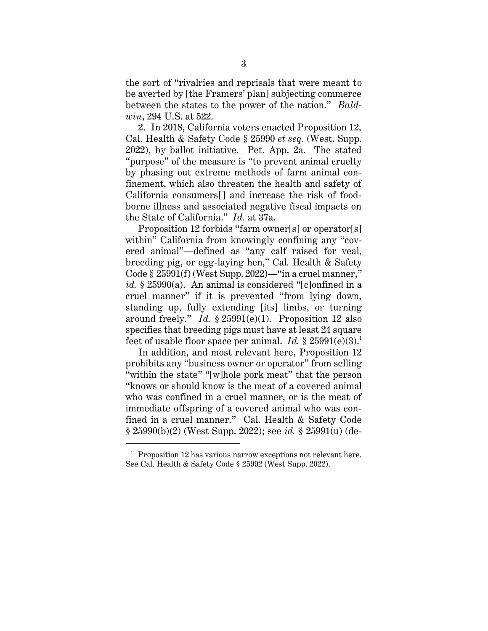the sort of "rivalries and reprisals that were meant to be averted by [the Framers' plan] subjecting commerce between the states to the power of the nation." *Baldwin*, 294 U.S. at 522.

2. In 2018, California voters enacted Proposition 12, Cal. Health & Safety Code § 25990 *et seq.* (West. Supp. 2022), by ballot initiative. Pet. App. 2a. The stated "purpose" of the measure is "to prevent animal cruelty by phasing out extreme methods of farm animal confinement, which also threaten the health and safety of California consumers[] and increase the risk of foodborne illness and associated negative fiscal impacts on the State of California." *Id.* at 37a.

Proposition 12 forbids "farm owner[s] or operator[s] within" California from knowingly confining any "covered animal"—defined as "any calf raised for veal, breeding pig, or egg-laying hen," Cal. Health & Safety Code § 25991(f) (West Supp. 2022)—"in a cruel manner," *id.* § 25990(a). An animal is considered "[c]onfined in a cruel manner" if it is prevented "from lying down, standing up, fully extending [its] limbs, or turning around freely." *Id.* § 25991(e)(1). Proposition 12 also specifies that breeding pigs must have at least 24 square feet of usable floor space per animal. *Id.* § 25991(e)(3). 1

In addition, and most relevant here, Proposition 12 prohibits any "business owner or operator" from selling "within the state" "[w]hole pork meat" that the person "knows or should know is the meat of a covered animal who was confined in a cruel manner, or is the meat of immediate offspring of a covered animal who was confined in a cruel manner." Cal. Health & Safety Code § 25990(b)(2) (West Supp. 2022); see *id.* § 25991(u) (de-

<sup>&</sup>lt;sup>1</sup> Proposition 12 has various narrow exceptions not relevant here. See Cal. Health & Safety Code § 25992 (West Supp. 2022).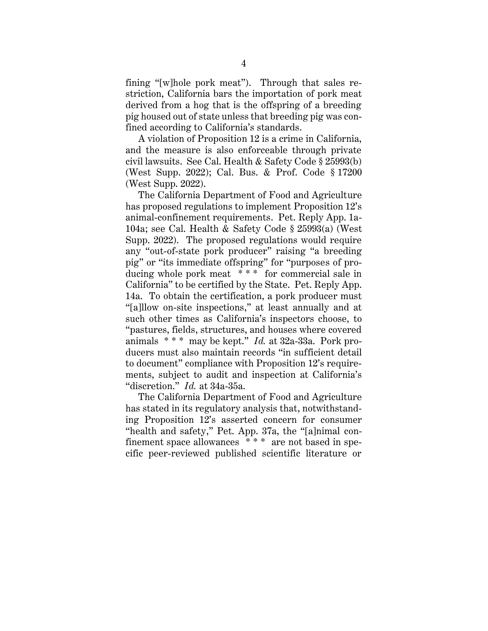fining "[w]hole pork meat"). Through that sales restriction, California bars the importation of pork meat derived from a hog that is the offspring of a breeding pig housed out of state unless that breeding pig was confined according to California's standards.

A violation of Proposition 12 is a crime in California, and the measure is also enforceable through private civil lawsuits. See Cal. Health & Safety Code § 25993(b) (West Supp. 2022); Cal. Bus. & Prof. Code § 17200 (West Supp. 2022).

The California Department of Food and Agriculture has proposed regulations to implement Proposition 12's animal-confinement requirements. Pet. Reply App. 1a-104a; see Cal. Health & Safety Code § 25993(a) (West Supp. 2022). The proposed regulations would require any "out-of-state pork producer" raising "a breeding pig" or "its immediate offspring" for "purposes of producing whole pork meat \* \* \* for commercial sale in California" to be certified by the State. Pet. Reply App. 14a. To obtain the certification, a pork producer must "[a]llow on-site inspections," at least annually and at such other times as California's inspectors choose, to "pastures, fields, structures, and houses where covered animals \* \* \* may be kept." *Id.* at 32a-33a. Pork producers must also maintain records "in sufficient detail to document" compliance with Proposition 12's requirements, subject to audit and inspection at California's "discretion." *Id.* at 34a-35a.

The California Department of Food and Agriculture has stated in its regulatory analysis that, notwithstanding Proposition 12's asserted concern for consumer "health and safety," Pet. App. 37a, the "[a]nimal confinement space allowances \* \* \* are not based in specific peer-reviewed published scientific literature or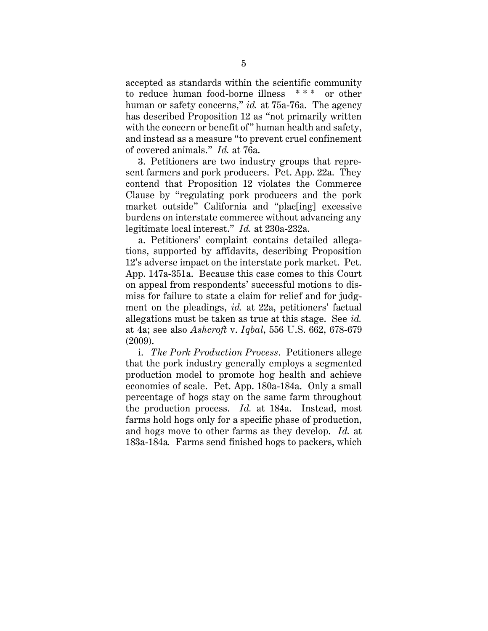accepted as standards within the scientific community to reduce human food-borne illness \* \* \* or other human or safety concerns," *id.* at 75a-76a. The agency has described Proposition 12 as "not primarily written with the concern or benefit of" human health and safety, and instead as a measure "to prevent cruel confinement of covered animals." *Id.* at 76a.

3. Petitioners are two industry groups that represent farmers and pork producers. Pet. App. 22a. They contend that Proposition 12 violates the Commerce Clause by "regulating pork producers and the pork market outside" California and "plac[ing] excessive burdens on interstate commerce without advancing any legitimate local interest." *Id.* at 230a-232a.

a. Petitioners' complaint contains detailed allegations, supported by affidavits, describing Proposition 12's adverse impact on the interstate pork market. Pet. App. 147a-351a. Because this case comes to this Court on appeal from respondents' successful motions to dismiss for failure to state a claim for relief and for judgment on the pleadings, *id.* at 22a, petitioners' factual allegations must be taken as true at this stage. See *id.* at 4a; see also *Ashcroft* v. *Iqbal*, 556 U.S. 662, 678-679 (2009).

i. *The Pork Production Process*. Petitioners allege that the pork industry generally employs a segmented production model to promote hog health and achieve economies of scale. Pet. App. 180a-184a. Only a small percentage of hogs stay on the same farm throughout the production process. *Id.* at 184a. Instead, most farms hold hogs only for a specific phase of production, and hogs move to other farms as they develop. *Id.* at 183a-184a*.* Farms send finished hogs to packers, which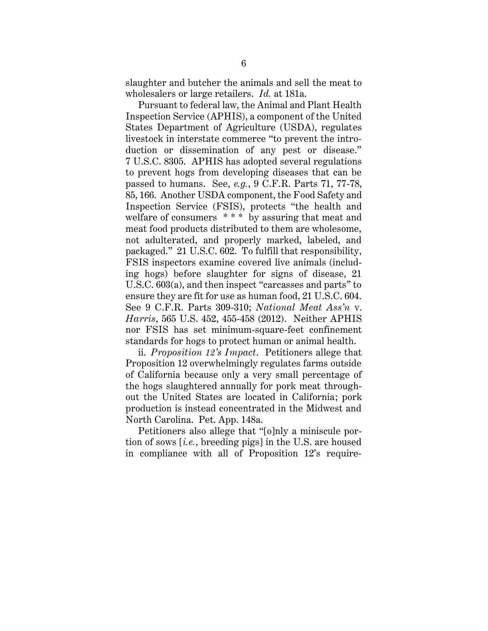slaughter and butcher the animals and sell the meat to wholesalers or large retailers. *Id.* at 181a.

Pursuant to federal law, the Animal and Plant Health Inspection Service (APHIS), a component of the United States Department of Agriculture (USDA), regulates livestock in interstate commerce "to prevent the introduction or dissemination of any pest or disease." 7 U.S.C. 8305. APHIS has adopted several regulations to prevent hogs from developing diseases that can be passed to humans. See, *e.g.*, 9 C.F.R. Parts 71, 77-78, 85, 166. Another USDA component, the Food Safety and Inspection Service (FSIS), protects "the health and welfare of consumers \*\*\* by assuring that meat and meat food products distributed to them are wholesome, not adulterated, and properly marked, labeled, and packaged." 21 U.S.C. 602. To fulfill that responsibility, FSIS inspectors examine covered live animals (including hogs) before slaughter for signs of disease, 21 U.S.C. 603(a), and then inspect "carcasses and parts" to ensure they are fit for use as human food, 21 U.S.C. 604. See 9 C.F.R. Parts 309-310; *National Meat Ass'n* v. *Harris*, 565 U.S. 452, 455-458 (2012). Neither APHIS nor FSIS has set minimum-square-feet confinement standards for hogs to protect human or animal health.

ii. *Proposition 12's Impact*. Petitioners allege that Proposition 12 overwhelmingly regulates farms outside of California because only a very small percentage of the hogs slaughtered annually for pork meat throughout the United States are located in California; pork production is instead concentrated in the Midwest and North Carolina. Pet. App. 148a.

Petitioners also allege that "[o]nly a miniscule portion of sows [*i.e.*, breeding pigs] in the U.S. are housed in compliance with all of Proposition 12's require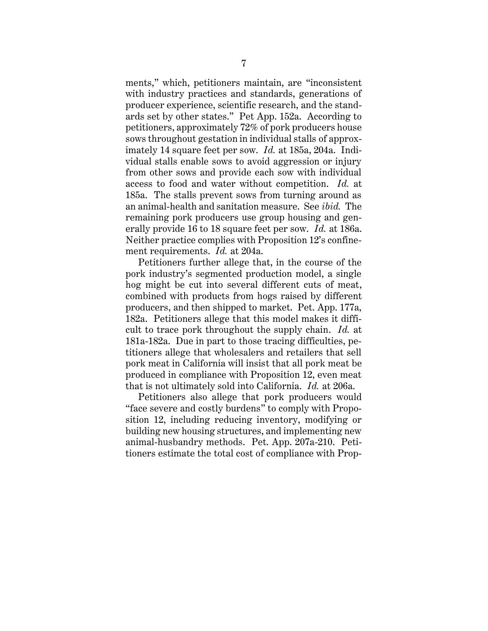ments," which, petitioners maintain, are "inconsistent with industry practices and standards, generations of producer experience, scientific research, and the standards set by other states." Pet App. 152a. According to petitioners, approximately 72% of pork producers house sows throughout gestation in individual stalls of approximately 14 square feet per sow. *Id.* at 185a, 204a. Individual stalls enable sows to avoid aggression or injury from other sows and provide each sow with individual access to food and water without competition. *Id.* at 185a. The stalls prevent sows from turning around as an animal-health and sanitation measure. See *ibid.* The remaining pork producers use group housing and generally provide 16 to 18 square feet per sow. *Id.* at 186a. Neither practice complies with Proposition 12's confinement requirements. *Id.* at 204a.

Petitioners further allege that, in the course of the pork industry's segmented production model, a single hog might be cut into several different cuts of meat, combined with products from hogs raised by different producers, and then shipped to market. Pet. App. 177a, 182a. Petitioners allege that this model makes it difficult to trace pork throughout the supply chain. *Id.* at 181a-182a. Due in part to those tracing difficulties, petitioners allege that wholesalers and retailers that sell pork meat in California will insist that all pork meat be produced in compliance with Proposition 12, even meat that is not ultimately sold into California. *Id.* at 206a.

Petitioners also allege that pork producers would "face severe and costly burdens" to comply with Proposition 12, including reducing inventory, modifying or building new housing structures, and implementing new animal-husbandry methods. Pet. App. 207a-210. Petitioners estimate the total cost of compliance with Prop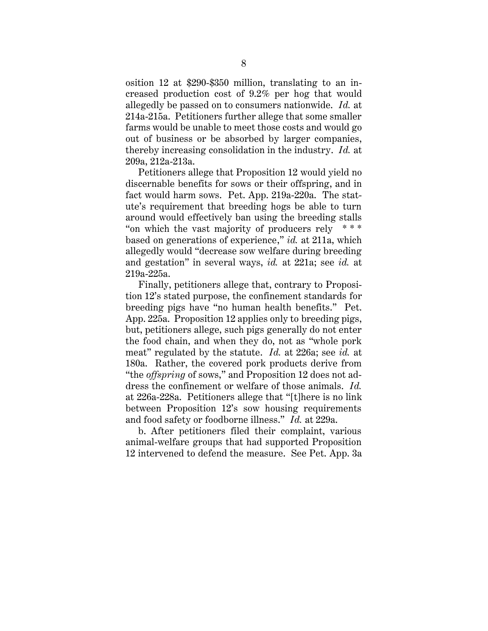osition 12 at \$290-\$350 million, translating to an increased production cost of 9.2% per hog that would allegedly be passed on to consumers nationwide. *Id.* at 214a-215a. Petitioners further allege that some smaller farms would be unable to meet those costs and would go out of business or be absorbed by larger companies, thereby increasing consolidation in the industry. *Id.* at 209a, 212a-213a.

Petitioners allege that Proposition 12 would yield no discernable benefits for sows or their offspring, and in fact would harm sows. Pet. App. 219a-220a. The statute's requirement that breeding hogs be able to turn around would effectively ban using the breeding stalls "on which the vast majority of producers rely  $***$ based on generations of experience," *id.* at 211a, which allegedly would "decrease sow welfare during breeding and gestation" in several ways, *id.* at 221a; see *id.* at 219a-225a.

Finally, petitioners allege that, contrary to Proposition 12's stated purpose, the confinement standards for breeding pigs have "no human health benefits." Pet. App. 225a. Proposition 12 applies only to breeding pigs, but, petitioners allege, such pigs generally do not enter the food chain, and when they do, not as "whole pork meat" regulated by the statute. *Id.* at 226a; see *id.* at 180a. Rather, the covered pork products derive from "the *offspring* of sows," and Proposition 12 does not address the confinement or welfare of those animals. *Id.* at 226a-228a. Petitioners allege that "[t]here is no link between Proposition 12's sow housing requirements and food safety or foodborne illness." *Id.* at 229a.

b. After petitioners filed their complaint, various animal-welfare groups that had supported Proposition 12 intervened to defend the measure. See Pet. App. 3a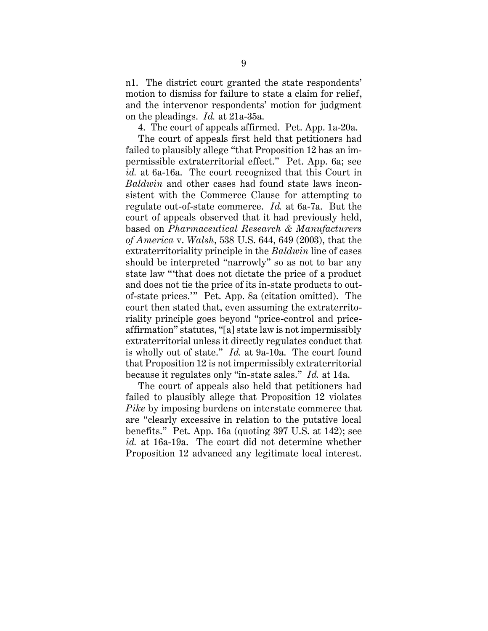n1. The district court granted the state respondents' motion to dismiss for failure to state a claim for relief, and the intervenor respondents' motion for judgment on the pleadings. *Id.* at 21a-35a.

4. The court of appeals affirmed. Pet. App. 1a-20a.

The court of appeals first held that petitioners had failed to plausibly allege "that Proposition 12 has an impermissible extraterritorial effect." Pet. App. 6a; see *id.* at 6a-16a. The court recognized that this Court in *Baldwin* and other cases had found state laws inconsistent with the Commerce Clause for attempting to regulate out-of-state commerce. *Id.* at 6a-7a. But the court of appeals observed that it had previously held, based on *Pharmaceutical Research & Manufacturers of America* v. *Walsh*, 538 U.S. 644, 649 (2003), that the extraterritoriality principle in the *Baldwin* line of cases should be interpreted "narrowly" so as not to bar any state law "'that does not dictate the price of a product and does not tie the price of its in-state products to outof-state prices.'" Pet. App. 8a (citation omitted). The court then stated that, even assuming the extraterritoriality principle goes beyond "price-control and priceaffirmation" statutes, "[a] state law is not impermissibly extraterritorial unless it directly regulates conduct that is wholly out of state." *Id.* at 9a-10a. The court found that Proposition 12 is not impermissibly extraterritorial because it regulates only "in-state sales." *Id.* at 14a.

The court of appeals also held that petitioners had failed to plausibly allege that Proposition 12 violates *Pike* by imposing burdens on interstate commerce that are "clearly excessive in relation to the putative local benefits." Pet. App. 16a (quoting 397 U.S. at 142); see *id.* at 16a-19a. The court did not determine whether Proposition 12 advanced any legitimate local interest.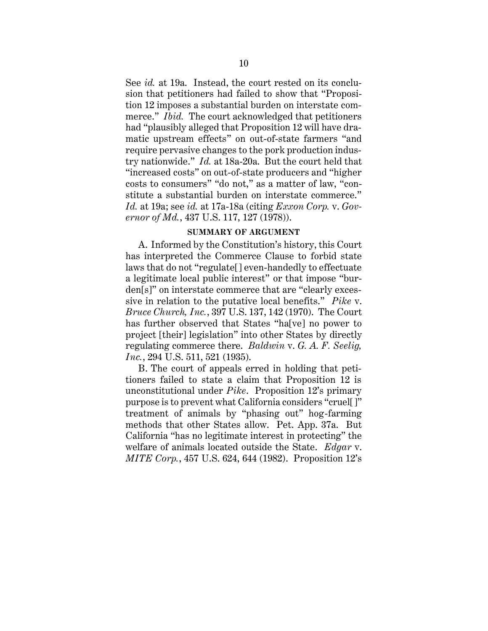See *id.* at 19a. Instead, the court rested on its conclusion that petitioners had failed to show that "Proposition 12 imposes a substantial burden on interstate commerce." *Ibid.* The court acknowledged that petitioners had "plausibly alleged that Proposition 12 will have dramatic upstream effects" on out-of-state farmers "and require pervasive changes to the pork production industry nationwide." *Id.* at 18a-20a. But the court held that "increased costs" on out-of-state producers and "higher costs to consumers" "do not," as a matter of law, "constitute a substantial burden on interstate commerce." *Id.* at 19a; see *id.* at 17a-18a (citing *Exxon Corp.* v. *Governor of Md.*, 437 U.S. 117, 127 (1978)).

#### **SUMMARY OF ARGUMENT**

<span id="page-16-0"></span>A. Informed by the Constitution's history, this Court has interpreted the Commerce Clause to forbid state laws that do not "regulate[] even-handedly to effectuate a legitimate local public interest" or that impose "burden[s]" on interstate commerce that are "clearly excessive in relation to the putative local benefits." *Pike* v. *Bruce Church, Inc.*, 397 U.S. 137, 142 (1970). The Court has further observed that States "ha[ve] no power to project [their] legislation" into other States by directly regulating commerce there. *Baldwin* v. *G. A. F. Seelig, Inc.*, 294 U.S. 511, 521 (1935).

B. The court of appeals erred in holding that petitioners failed to state a claim that Proposition 12 is unconstitutional under *Pike*. Proposition 12's primary purpose is to prevent what California considers "cruel[]" treatment of animals by "phasing out" hog-farming methods that other States allow. Pet. App. 37a. But California "has no legitimate interest in protecting" the welfare of animals located outside the State. *Edgar* v. *MITE Corp.*, 457 U.S. 624, 644 (1982). Proposition 12's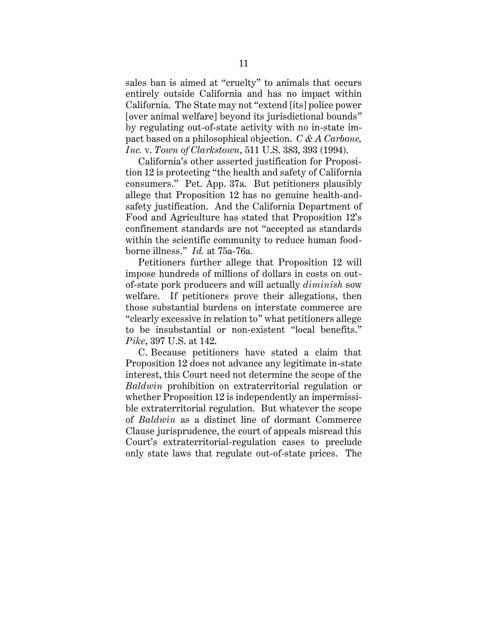sales ban is aimed at "cruelty" to animals that occurs entirely outside California and has no impact within California. The State may not "extend [its] police power [over animal welfare] beyond its jurisdictional bounds" by regulating out-of-state activity with no in-state impact based on a philosophical objection. *C & A Carbone, Inc.* v. *Town of Clarkstown*, 511 U.S. 383, 393 (1994).

California's other asserted justification for Proposition 12 is protecting "the health and safety of California consumers." Pet. App. 37a. But petitioners plausibly allege that Proposition 12 has no genuine health-andsafety justification. And the California Department of Food and Agriculture has stated that Proposition 12's confinement standards are not "accepted as standards within the scientific community to reduce human foodborne illness." *Id.* at 75a-76a.

Petitioners further allege that Proposition 12 will impose hundreds of millions of dollars in costs on outof-state pork producers and will actually *diminish* sow welfare. If petitioners prove their allegations, then those substantial burdens on interstate commerce are "clearly excessive in relation to" what petitioners allege to be insubstantial or non-existent "local benefits." *Pike*, 397 U.S. at 142.

C. Because petitioners have stated a claim that Proposition 12 does not advance any legitimate in-state interest, this Court need not determine the scope of the *Baldwin* prohibition on extraterritorial regulation or whether Proposition 12 is independently an impermissible extraterritorial regulation. But whatever the scope of *Baldwin* as a distinct line of dormant Commerce Clause jurisprudence, the court of appeals misread this Court's extraterritorial-regulation cases to preclude only state laws that regulate out-of-state prices. The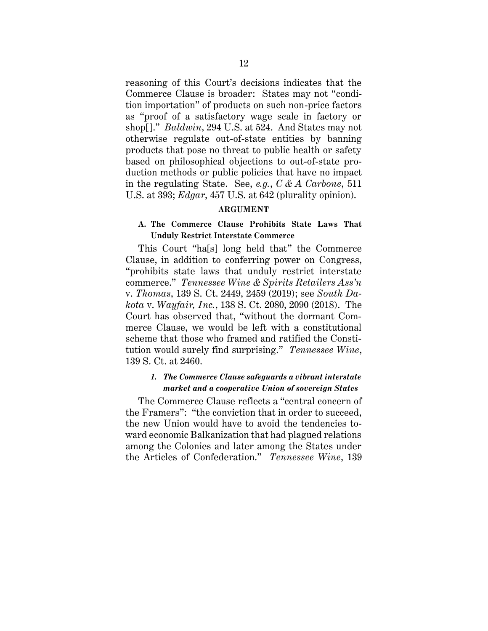reasoning of this Court's decisions indicates that the Commerce Clause is broader: States may not "condition importation" of products on such non-price factors as "proof of a satisfactory wage scale in factory or shop[]." *Baldwin*, 294 U.S. at 524. And States may not otherwise regulate out-of-state entities by banning products that pose no threat to public health or safety based on philosophical objections to out-of-state production methods or public policies that have no impact in the regulating State. See, *e.g.*, *C & A Carbone*, 511 U.S. at 393; *Edgar*, 457 U.S. at 642 (plurality opinion).

#### **ARGUMENT**

## <span id="page-18-1"></span><span id="page-18-0"></span>**A. The Commerce Clause Prohibits State Laws That Unduly Restrict Interstate Commerce**

This Court "ha[s] long held that" the Commerce Clause, in addition to conferring power on Congress, "prohibits state laws that unduly restrict interstate commerce." *Tennessee Wine & Spirits Retailers Ass'n* v. *Thomas*, 139 S. Ct. 2449, 2459 (2019); see *South Dakota* v. *Wayfair, Inc.*, 138 S. Ct. 2080, 2090 (2018). The Court has observed that, "without the dormant Commerce Clause, we would be left with a constitutional scheme that those who framed and ratified the Constitution would surely find surprising." *Tennessee Wine*, 139 S. Ct. at 2460.

## <span id="page-18-2"></span>*1. The Commerce Clause safeguards a vibrant interstate market and a cooperative Union of sovereign States*

The Commerce Clause reflects a "central concern of the Framers": "the conviction that in order to succeed, the new Union would have to avoid the tendencies toward economic Balkanization that had plagued relations among the Colonies and later among the States under the Articles of Confederation." *Tennessee Wine*, 139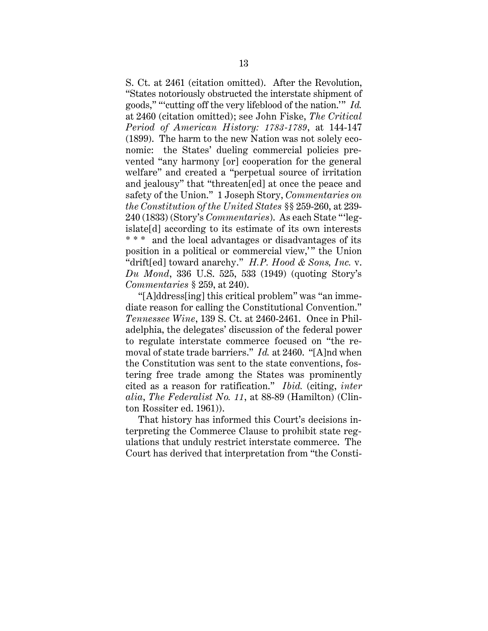S. Ct. at 2461 (citation omitted). After the Revolution, "States notoriously obstructed the interstate shipment of goods," "'cutting off the very lifeblood of the nation.'" *Id.* at 2460 (citation omitted); see John Fiske, *The Critical Period of American History: 1783-1789*, at 144-147 (1899). The harm to the new Nation was not solely economic: the States' dueling commercial policies prevented "any harmony [or] cooperation for the general welfare" and created a "perpetual source of irritation and jealousy" that "threaten[ed] at once the peace and safety of the Union." 1 Joseph Story, *Commentaries on the Constitution of the United States* §§ 259-260, at 239- 240 (1833) (Story's *Commentaries*). As each State "'legislate[d] according to its estimate of its own interests \*\*\* and the local advantages or disadvantages of its position in a political or commercial view," the Union "drift[ed] toward anarchy." *H.P. Hood & Sons, Inc.* v. *Du Mond*, 336 U.S. 525, 533 (1949) (quoting Story's *Commentaries* § 259, at 240).

"[A]ddress[ing] this critical problem" was "an immediate reason for calling the Constitutional Convention." *Tennessee Wine*, 139 S. Ct. at 2460-2461. Once in Philadelphia, the delegates' discussion of the federal power to regulate interstate commerce focused on "the removal of state trade barriers." *Id.* at 2460. "[A]nd when the Constitution was sent to the state conventions, fostering free trade among the States was prominently cited as a reason for ratification." *Ibid.* (citing, *inter alia*, *The Federalist No. 11*, at 88-89 (Hamilton) (Clinton Rossiter ed. 1961)).

That history has informed this Court's decisions interpreting the Commerce Clause to prohibit state regulations that unduly restrict interstate commerce. The Court has derived that interpretation from "the Consti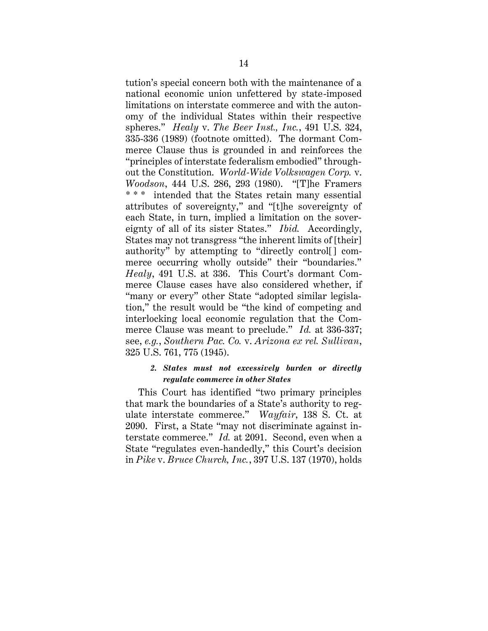tution's special concern both with the maintenance of a national economic union unfettered by state-imposed limitations on interstate commerce and with the autonomy of the individual States within their respective spheres." *Healy* v. *The Beer Inst., Inc.*, 491 U.S. 324, 335-336 (1989) (footnote omitted). The dormant Commerce Clause thus is grounded in and reinforces the "principles of interstate federalism embodied" throughout the Constitution. *World-Wide Volkswagen Corp.* v. *Woodson*, 444 U.S. 286, 293 (1980). "[T]he Framers \* \* \* intended that the States retain many essential attributes of sovereignty," and "[t]he sovereignty of each State, in turn, implied a limitation on the sovereignty of all of its sister States." *Ibid.* Accordingly, States may not transgress "the inherent limits of [their] authority" by attempting to "directly control[] commerce occurring wholly outside" their "boundaries." *Healy*, 491 U.S. at 336. This Court's dormant Commerce Clause cases have also considered whether, if "many or every" other State "adopted similar legislation," the result would be "the kind of competing and interlocking local economic regulation that the Commerce Clause was meant to preclude." *Id.* at 336-337; see, *e.g.*, *Southern Pac. Co.* v. *Arizona ex rel. Sullivan*, 325 U.S. 761, 775 (1945).

#### <span id="page-20-0"></span>*2. States must not excessively burden or directly regulate commerce in other States*

This Court has identified "two primary principles that mark the boundaries of a State's authority to regulate interstate commerce." *Wayfair*, 138 S. Ct. at 2090. First, a State "may not discriminate against interstate commerce." *Id.* at 2091. Second, even when a State "regulates even-handedly," this Court's decision in *Pike* v. *Bruce Church, Inc.*, 397 U.S. 137 (1970), holds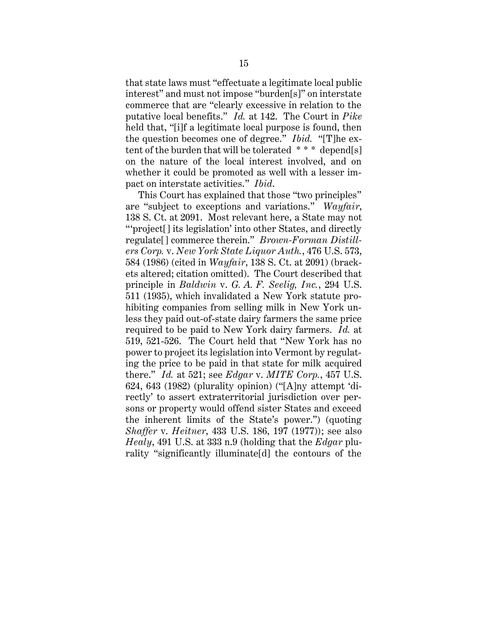that state laws must "effectuate a legitimate local public interest" and must not impose "burden[s]" on interstate commerce that are "clearly excessive in relation to the putative local benefits." *Id.* at 142. The Court in *Pike* held that, "[i]f a legitimate local purpose is found, then the question becomes one of degree." *Ibid.* "[T]he extent of the burden that will be tolerated \* \* \* depend[s] on the nature of the local interest involved, and on whether it could be promoted as well with a lesser impact on interstate activities." *Ibid*.

This Court has explained that those "two principles" are "subject to exceptions and variations." *Wayfair*, 138 S. Ct. at 2091. Most relevant here, a State may not "'project[] its legislation' into other States, and directly regulate[] commerce therein." *Brown-Forman Distillers Corp.* v. *New York State Liquor Auth.*, 476 U.S. 573, 584 (1986) (cited in *Wayfair*, 138 S. Ct. at 2091) (brackets altered; citation omitted). The Court described that principle in *Baldwin* v. *G. A. F. Seelig, Inc.*, 294 U.S. 511 (1935), which invalidated a New York statute prohibiting companies from selling milk in New York unless they paid out-of-state dairy farmers the same price required to be paid to New York dairy farmers. *Id.* at 519, 521-526. The Court held that "New York has no power to project its legislation into Vermont by regulating the price to be paid in that state for milk acquired there." *Id.* at 521; see *Edgar* v. *MITE Corp.*, 457 U.S. 624, 643 (1982) (plurality opinion) ("[A]ny attempt 'directly' to assert extraterritorial jurisdiction over persons or property would offend sister States and exceed the inherent limits of the State's power.") (quoting *Shaffer* v. *Heitner*, 433 U.S. 186, 197 (1977)); see also *Healy*, 491 U.S. at 333 n.9 (holding that the *Edgar* plurality "significantly illuminate[d] the contours of the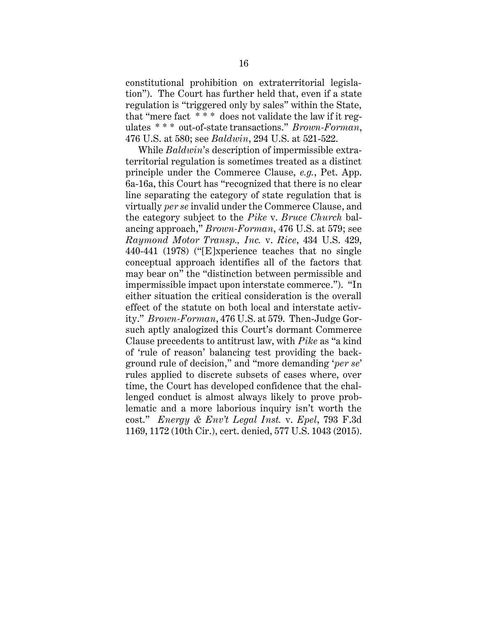constitutional prohibition on extraterritorial legislation"). The Court has further held that, even if a state regulation is "triggered only by sales" within the State, that "mere fact \* \* \* does not validate the law if it regulates \* \* \* out-of-state transactions." *Brown-Forman*, 476 U.S. at 580; see *Baldwin*, 294 U.S. at 521-522.

While *Baldwin*'s description of impermissible extraterritorial regulation is sometimes treated as a distinct principle under the Commerce Clause, *e.g.*, Pet. App. 6a-16a, this Court has "recognized that there is no clear line separating the category of state regulation that is virtually *per se* invalid under the Commerce Clause, and the category subject to the *Pike* v. *Bruce Church* balancing approach," *Brown-Forman*, 476 U.S. at 579; see *Raymond Motor Transp., Inc.* v. *Rice*, 434 U.S. 429, 440-441 (1978) ("[E]xperience teaches that no single conceptual approach identifies all of the factors that may bear on" the "distinction between permissible and impermissible impact upon interstate commerce."). "In either situation the critical consideration is the overall effect of the statute on both local and interstate activity." *Brown-Forman*, 476 U.S. at 579. Then-Judge Gorsuch aptly analogized this Court's dormant Commerce Clause precedents to antitrust law, with *Pike* as "a kind of 'rule of reason' balancing test providing the background rule of decision," and "more demanding '*per se*' rules applied to discrete subsets of cases where, over time, the Court has developed confidence that the challenged conduct is almost always likely to prove problematic and a more laborious inquiry isn't worth the cost." *Energy & Env't Legal Inst.* v. *Epel*, 793 F.3d 1169, 1172 (10th Cir.), cert. denied, 577 U.S. 1043 (2015).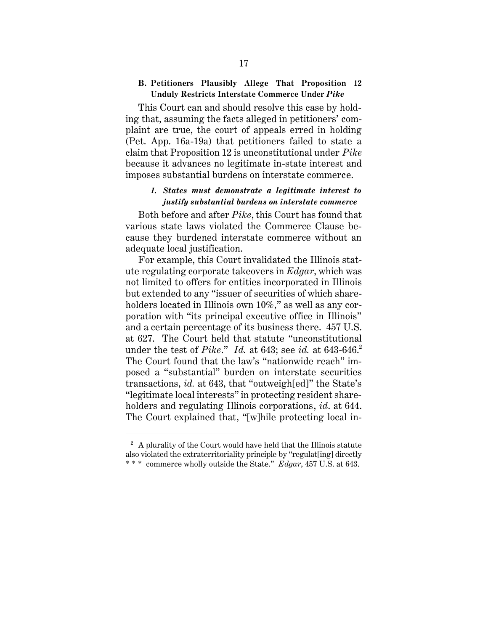#### <span id="page-23-0"></span>**B. Petitioners Plausibly Allege That Proposition 12 Unduly Restricts Interstate Commerce Under** *Pike*

This Court can and should resolve this case by holding that, assuming the facts alleged in petitioners' complaint are true, the court of appeals erred in holding (Pet. App. 16a-19a) that petitioners failed to state a claim that Proposition 12 is unconstitutional under *Pike* because it advances no legitimate in-state interest and imposes substantial burdens on interstate commerce.

#### <span id="page-23-1"></span>*1. States must demonstrate a legitimate interest to justify substantial burdens on interstate commerce*

Both before and after *Pike*, this Court has found that various state laws violated the Commerce Clause because they burdened interstate commerce without an adequate local justification.

For example, this Court invalidated the Illinois statute regulating corporate takeovers in *Edgar*, which was not limited to offers for entities incorporated in Illinois but extended to any "issuer of securities of which shareholders located in Illinois own 10%," as well as any corporation with "its principal executive office in Illinois" and a certain percentage of its business there. 457 U.S. at 627. The Court held that statute "unconstitutional under the test of *Pike.*" *Id.* at 643; see *id.* at 643-646.<sup>2</sup> The Court found that the law's "nationwide reach" imposed a "substantial" burden on interstate securities transactions, *id.* at 643, that "outweigh[ed]" the State's "legitimate local interests" in protecting resident shareholders and regulating Illinois corporations, *id*. at 644. The Court explained that, "[w]hile protecting local in-

 $2$  A plurality of the Court would have held that the Illinois statute also violated the extraterritoriality principle by "regulat[ing] directly \* \* \* commerce wholly outside the State." *Edgar*, 457 U.S. at 643.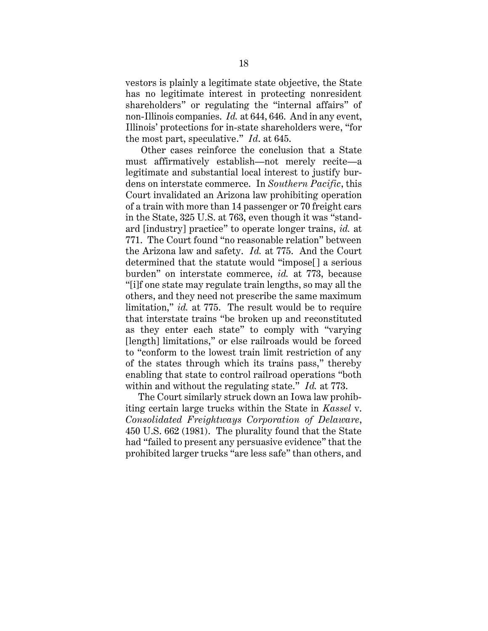vestors is plainly a legitimate state objective, the State has no legitimate interest in protecting nonresident shareholders" or regulating the "internal affairs" of non-Illinois companies. *Id.* at 644, 646. And in any event, Illinois' protections for in-state shareholders were, "for the most part, speculative." *Id*. at 645.

Other cases reinforce the conclusion that a State must affirmatively establish—not merely recite—a legitimate and substantial local interest to justify burdens on interstate commerce. In *Southern Pacific*, this Court invalidated an Arizona law prohibiting operation of a train with more than 14 passenger or 70 freight cars in the State, 325 U.S. at 763, even though it was "standard [industry] practice" to operate longer trains, *id.* at 771. The Court found "no reasonable relation" between the Arizona law and safety. *Id.* at 775. And the Court determined that the statute would "impose[] a serious burden" on interstate commerce, *id.* at 773, because "[i]f one state may regulate train lengths, so may all the others, and they need not prescribe the same maximum limitation," *id.* at 775. The result would be to require that interstate trains "be broken up and reconstituted as they enter each state" to comply with "varying [length] limitations," or else railroads would be forced to "conform to the lowest train limit restriction of any of the states through which its trains pass," thereby enabling that state to control railroad operations "both within and without the regulating state." *Id.* at 773.

The Court similarly struck down an Iowa law prohibiting certain large trucks within the State in *Kassel* v. *Consolidated Freightways Corporation of Delaware*, 450 U.S. 662 (1981). The plurality found that the State had "failed to present any persuasive evidence" that the prohibited larger trucks "are less safe" than others, and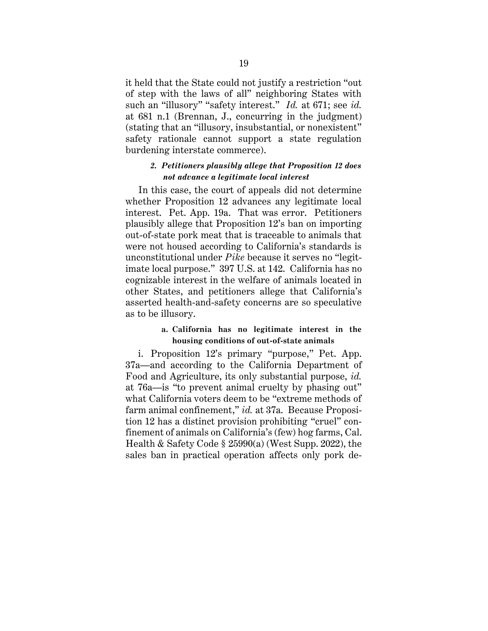it held that the State could not justify a restriction "out of step with the laws of all" neighboring States with such an "illusory" "safety interest." *Id.* at 671; see *id.* at 681 n.1 (Brennan, J., concurring in the judgment) (stating that an "illusory, insubstantial, or nonexistent" safety rationale cannot support a state regulation burdening interstate commerce).

#### <span id="page-25-0"></span>*2. Petitioners plausibly allege that Proposition 12 does not advance a legitimate local interest*

In this case, the court of appeals did not determine whether Proposition 12 advances any legitimate local interest. Pet. App. 19a. That was error. Petitioners plausibly allege that Proposition 12's ban on importing out-of-state pork meat that is traceable to animals that were not housed according to California's standards is unconstitutional under *Pike* because it serves no "legitimate local purpose." 397 U.S. at 142. California has no cognizable interest in the welfare of animals located in other States, and petitioners allege that California's asserted health-and-safety concerns are so speculative as to be illusory.

#### **a. California has no legitimate interest in the housing conditions of out-of-state animals**

i. Proposition 12's primary "purpose," Pet. App. 37a—and according to the California Department of Food and Agriculture, its only substantial purpose, *id.* at 76a—is "to prevent animal cruelty by phasing out" what California voters deem to be "extreme methods of farm animal confinement," *id.* at 37a. Because Proposition 12 has a distinct provision prohibiting "cruel" confinement of animals on California's (few) hog farms, Cal. Health & Safety Code § 25990(a) (West Supp. 2022), the sales ban in practical operation affects only pork de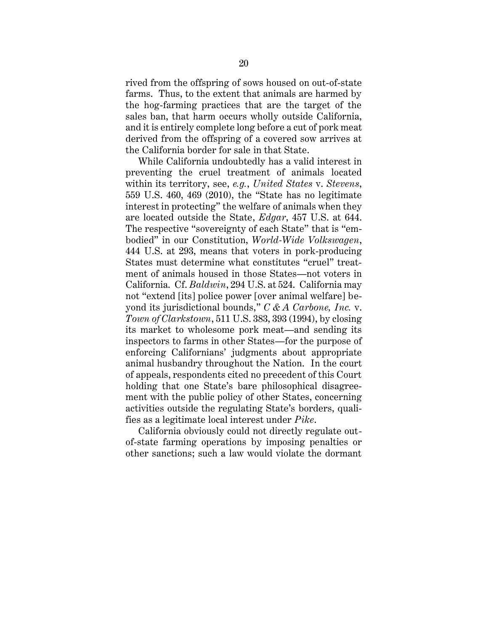rived from the offspring of sows housed on out-of-state farms. Thus, to the extent that animals are harmed by the hog-farming practices that are the target of the sales ban, that harm occurs wholly outside California, and it is entirely complete long before a cut of pork meat derived from the offspring of a covered sow arrives at the California border for sale in that State.

While California undoubtedly has a valid interest in preventing the cruel treatment of animals located within its territory, see, *e.g.*, *United States* v. *Stevens*, 559 U.S. 460, 469 (2010), the "State has no legitimate interest in protecting" the welfare of animals when they are located outside the State, *Edgar*, 457 U.S. at 644. The respective "sovereignty of each State" that is "embodied" in our Constitution, *World-Wide Volkswagen*, 444 U.S. at 293, means that voters in pork-producing States must determine what constitutes "cruel" treatment of animals housed in those States—not voters in California. Cf. *Baldwin*, 294 U.S. at 524. California may not "extend [its] police power [over animal welfare] beyond its jurisdictional bounds," *C & A Carbone, Inc.* v. *Town of Clarkstown*, 511 U.S. 383, 393 (1994), by closing its market to wholesome pork meat—and sending its inspectors to farms in other States—for the purpose of enforcing Californians' judgments about appropriate animal husbandry throughout the Nation. In the court of appeals, respondents cited no precedent of this Court holding that one State's bare philosophical disagreement with the public policy of other States, concerning activities outside the regulating State's borders, qualifies as a legitimate local interest under *Pike*.

California obviously could not directly regulate outof-state farming operations by imposing penalties or other sanctions; such a law would violate the dormant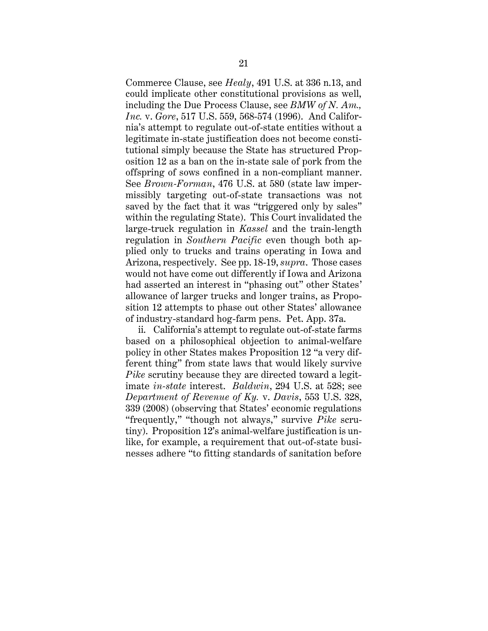Commerce Clause, see *Healy*, 491 U.S. at 336 n.13, and could implicate other constitutional provisions as well, including the Due Process Clause, see *BMW of N. Am., Inc.* v. *Gore*, 517 U.S. 559, 568-574 (1996). And California's attempt to regulate out-of-state entities without a legitimate in-state justification does not become constitutional simply because the State has structured Proposition 12 as a ban on the in-state sale of pork from the offspring of sows confined in a non-compliant manner. See *Brown-Forman*, 476 U.S. at 580 (state law impermissibly targeting out-of-state transactions was not saved by the fact that it was "triggered only by sales" within the regulating State). This Court invalidated the large-truck regulation in *Kassel* and the train-length regulation in *Southern Pacific* even though both applied only to trucks and trains operating in Iowa and Arizona, respectively. See pp. 18-19, *supra*. Those cases would not have come out differently if Iowa and Arizona had asserted an interest in "phasing out" other States' allowance of larger trucks and longer trains, as Proposition 12 attempts to phase out other States' allowance of industry-standard hog-farm pens. Pet. App. 37a.

ii. California's attempt to regulate out-of-state farms based on a philosophical objection to animal-welfare policy in other States makes Proposition 12 "a very different thing" from state laws that would likely survive *Pike* scrutiny because they are directed toward a legitimate *in-state* interest. *Baldwin*, 294 U.S. at 528; see *Department of Revenue of Ky.* v. *Davis*, 553 U.S. 328, 339 (2008) (observing that States' economic regulations "frequently," "though not always," survive *Pike* scrutiny). Proposition 12's animal-welfare justification is unlike, for example, a requirement that out-of-state businesses adhere "to fitting standards of sanitation before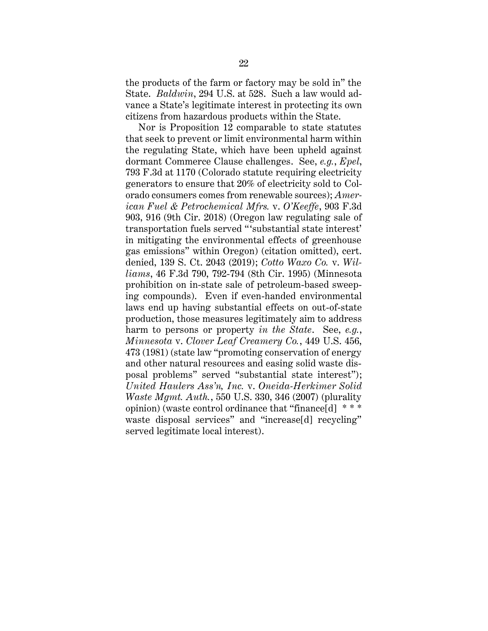the products of the farm or factory may be sold in" the State. *Baldwin*, 294 U.S. at 528. Such a law would advance a State's legitimate interest in protecting its own citizens from hazardous products within the State.

Nor is Proposition 12 comparable to state statutes that seek to prevent or limit environmental harm within the regulating State, which have been upheld against dormant Commerce Clause challenges. See, *e.g.*, *Epel*, 793 F.3d at 1170 (Colorado statute requiring electricity generators to ensure that 20% of electricity sold to Colorado consumers comes from renewable sources); *American Fuel & Petrochemical Mfrs.* v. *O'Keeffe*, 903 F.3d 903, 916 (9th Cir. 2018) (Oregon law regulating sale of transportation fuels served "'substantial state interest' in mitigating the environmental effects of greenhouse gas emissions" within Oregon) (citation omitted), cert. denied, 139 S. Ct. 2043 (2019); *Cotto Waxo Co.* v. *Williams*, 46 F.3d 790, 792-794 (8th Cir. 1995) (Minnesota prohibition on in-state sale of petroleum-based sweeping compounds). Even if even-handed environmental laws end up having substantial effects on out-of-state production, those measures legitimately aim to address harm to persons or property *in the State*. See, *e.g.*, *Minnesota* v. *Clover Leaf Creamery Co.*, 449 U.S. 456, 473 (1981) (state law "promoting conservation of energy and other natural resources and easing solid waste disposal problems" served "substantial state interest"); *United Haulers Ass'n, Inc.* v. *Oneida-Herkimer Solid Waste Mgmt. Auth.*, 550 U.S. 330, 346 (2007) (plurality opinion) (waste control ordinance that "finance[d] \* \* \* waste disposal services" and "increase[d] recycling" served legitimate local interest).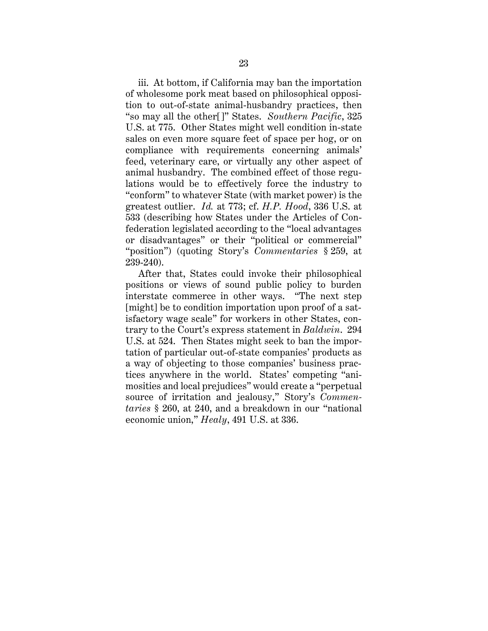iii. At bottom, if California may ban the importation of wholesome pork meat based on philosophical opposition to out-of-state animal-husbandry practices, then "so may all the other[]" States. *Southern Pacific*, 325 U.S. at 775. Other States might well condition in-state sales on even more square feet of space per hog, or on compliance with requirements concerning animals' feed, veterinary care, or virtually any other aspect of animal husbandry. The combined effect of those regulations would be to effectively force the industry to "conform" to whatever State (with market power) is the greatest outlier. *Id.* at 773; cf. *H.P. Hood*, 336 U.S. at 533 (describing how States under the Articles of Confederation legislated according to the "local advantages or disadvantages" or their "political or commercial" "position") (quoting Story's *Commentaries* § 259, at 239-240).

After that, States could invoke their philosophical positions or views of sound public policy to burden interstate commerce in other ways. "The next step [might] be to condition importation upon proof of a satisfactory wage scale" for workers in other States, contrary to the Court's express statement in *Baldwin*. 294 U.S. at 524. Then States might seek to ban the importation of particular out-of-state companies' products as a way of objecting to those companies' business practices anywhere in the world. States' competing "animosities and local prejudices" would create a "perpetual source of irritation and jealousy," Story's *Commentaries* § 260, at 240, and a breakdown in our "national economic union," *Healy*, 491 U.S. at 336.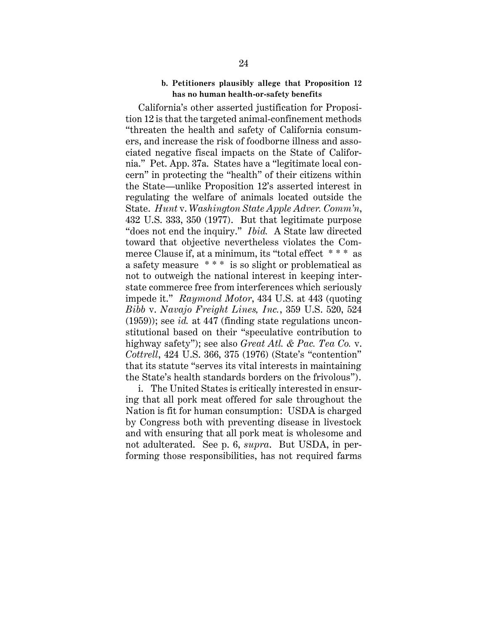#### **b. Petitioners plausibly allege that Proposition 12 has no human health-or-safety benefits**

<span id="page-30-0"></span>California's other asserted justification for Proposition 12 is that the targeted animal-confinement methods "threaten the health and safety of California consumers, and increase the risk of foodborne illness and associated negative fiscal impacts on the State of California." Pet. App. 37a. States have a "legitimate local concern" in protecting the "health" of their citizens within the State—unlike Proposition 12's asserted interest in regulating the welfare of animals located outside the State. *Hunt* v. *Washington State Apple Adver. Comm'n*, 432 U.S. 333, 350 (1977). But that legitimate purpose "does not end the inquiry." *Ibid.* A State law directed toward that objective nevertheless violates the Commerce Clause if, at a minimum, its "total effect \* \* \* as a safety measure \* \* \* is so slight or problematical as not to outweigh the national interest in keeping interstate commerce free from interferences which seriously impede it." *Raymond Motor*, 434 U.S. at 443 (quoting *Bibb* v. *Navajo Freight Lines, Inc.*, 359 U.S. 520, 524 (1959)); see *id.* at 447 (finding state regulations unconstitutional based on their "speculative contribution to highway safety"); see also *Great Atl. & Pac. Tea Co.* v. *Cottrell*, 424 U.S. 366, 375 (1976) (State's "contention" that its statute "serves its vital interests in maintaining the State's health standards borders on the frivolous").

i. The United States is critically interested in ensuring that all pork meat offered for sale throughout the Nation is fit for human consumption: USDA is charged by Congress both with preventing disease in livestock and with ensuring that all pork meat is wholesome and not adulterated. See p. 6, *supra*. But USDA, in performing those responsibilities, has not required farms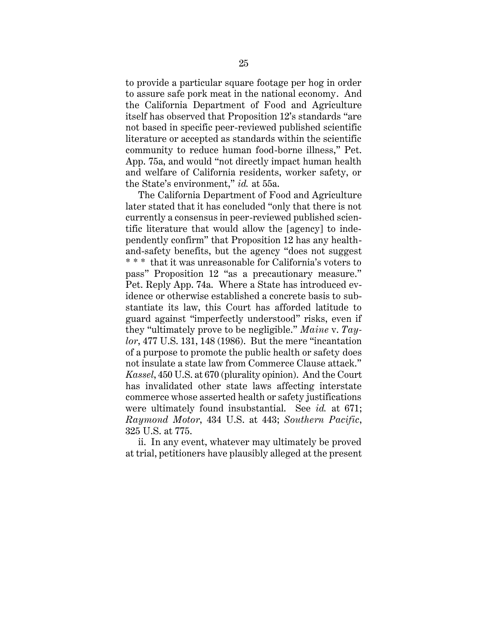to provide a particular square footage per hog in order to assure safe pork meat in the national economy. And the California Department of Food and Agriculture itself has observed that Proposition 12's standards "are not based in specific peer-reviewed published scientific literature or accepted as standards within the scientific community to reduce human food-borne illness," Pet. App. 75a, and would "not directly impact human health and welfare of California residents, worker safety, or the State's environment," *id.* at 55a.

The California Department of Food and Agriculture later stated that it has concluded "only that there is not currently a consensus in peer-reviewed published scientific literature that would allow the [agency] to independently confirm" that Proposition 12 has any healthand-safety benefits, but the agency "does not suggest \* \* \* that it was unreasonable for California's voters to pass" Proposition 12 "as a precautionary measure." Pet. Reply App. 74a. Where a State has introduced evidence or otherwise established a concrete basis to substantiate its law, this Court has afforded latitude to guard against "imperfectly understood" risks, even if they "ultimately prove to be negligible." *Maine* v. *Taylor*, 477 U.S. 131, 148 (1986). But the mere "incantation of a purpose to promote the public health or safety does not insulate a state law from Commerce Clause attack." *Kassel*, 450 U.S. at 670 (plurality opinion). And the Court has invalidated other state laws affecting interstate commerce whose asserted health or safety justifications were ultimately found insubstantial. See *id.* at 671; *Raymond Motor*, 434 U.S. at 443; *Southern Pacific*, 325 U.S. at 775.

ii. In any event, whatever may ultimately be proved at trial, petitioners have plausibly alleged at the present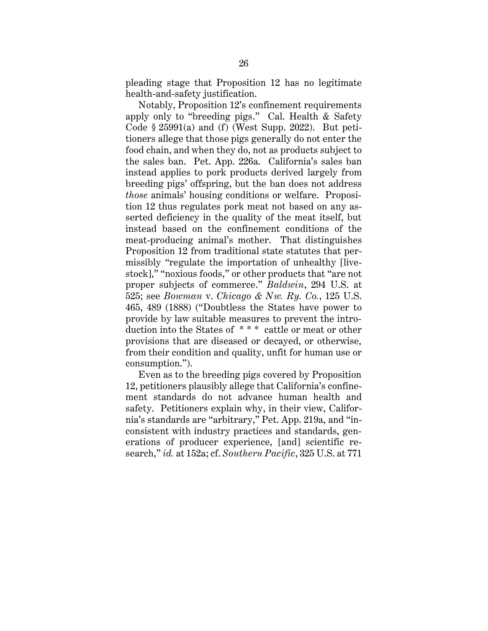pleading stage that Proposition 12 has no legitimate health-and-safety justification.

Notably, Proposition 12's confinement requirements apply only to "breeding pigs." Cal. Health & Safety Code  $\S 25991(a)$  and (f) (West Supp. 2022). But petitioners allege that those pigs generally do not enter the food chain, and when they do, not as products subject to the sales ban. Pet. App. 226a. California's sales ban instead applies to pork products derived largely from breeding pigs' offspring, but the ban does not address *those* animals' housing conditions or welfare. Proposition 12 thus regulates pork meat not based on any asserted deficiency in the quality of the meat itself, but instead based on the confinement conditions of the meat-producing animal's mother. That distinguishes Proposition 12 from traditional state statutes that permissibly "regulate the importation of unhealthy [livestock]," "noxious foods," or other products that "are not proper subjects of commerce." *Baldwin*, 294 U.S. at 525; see *Bowman* v. *Chicago & Nw. Ry. Co.*, 125 U.S. 465, 489 (1888) ("Doubtless the States have power to provide by law suitable measures to prevent the introduction into the States of \* \* \* cattle or meat or other provisions that are diseased or decayed, or otherwise, from their condition and quality, unfit for human use or consumption.").

Even as to the breeding pigs covered by Proposition 12, petitioners plausibly allege that California's confinement standards do not advance human health and safety. Petitioners explain why, in their view, California's standards are "arbitrary," Pet. App. 219a, and "inconsistent with industry practices and standards, generations of producer experience, [and] scientific research," *id.* at 152a; cf. *Southern Pacific*, 325 U.S. at 771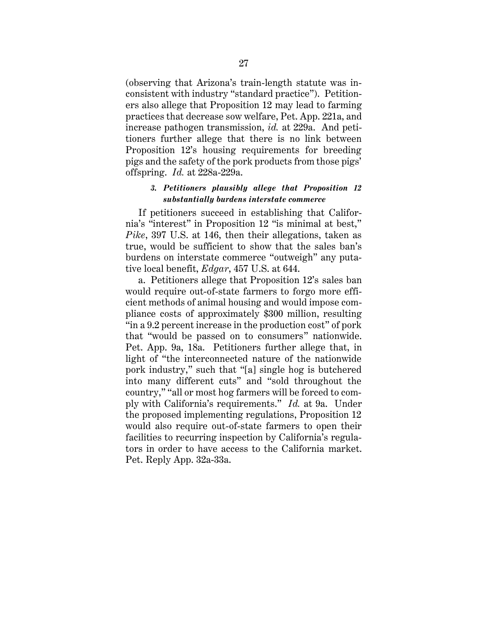(observing that Arizona's train-length statute was inconsistent with industry "standard practice"). Petitioners also allege that Proposition 12 may lead to farming practices that decrease sow welfare, Pet. App. 221a, and increase pathogen transmission, *id.* at 229a. And petitioners further allege that there is no link between Proposition 12's housing requirements for breeding pigs and the safety of the pork products from those pigs' offspring. *Id.* at 228a-229a.

## <span id="page-33-0"></span>*3. Petitioners plausibly allege that Proposition 12 substantially burdens interstate commerce*

If petitioners succeed in establishing that California's "interest" in Proposition 12 "is minimal at best," *Pike*, 397 U.S. at 146, then their allegations, taken as true, would be sufficient to show that the sales ban's burdens on interstate commerce "outweigh" any putative local benefit, *Edgar*, 457 U.S. at 644.

a. Petitioners allege that Proposition 12's sales ban would require out-of-state farmers to forgo more efficient methods of animal housing and would impose compliance costs of approximately \$300 million, resulting "in a 9.2 percent increase in the production cost" of pork that "would be passed on to consumers" nationwide. Pet. App. 9a, 18a. Petitioners further allege that, in light of "the interconnected nature of the nationwide pork industry," such that "[a] single hog is butchered into many different cuts" and "sold throughout the country," "all or most hog farmers will be forced to comply with California's requirements." *Id.* at 9a. Under the proposed implementing regulations, Proposition 12 would also require out-of-state farmers to open their facilities to recurring inspection by California's regulators in order to have access to the California market. Pet. Reply App. 32a-33a.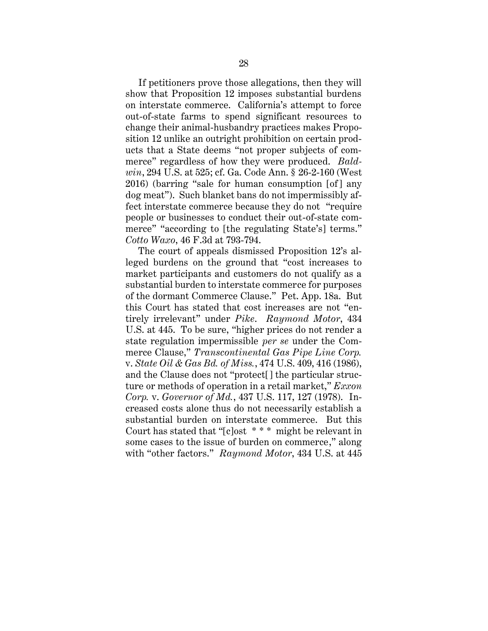If petitioners prove those allegations, then they will show that Proposition 12 imposes substantial burdens on interstate commerce. California's attempt to force out-of-state farms to spend significant resources to change their animal-husbandry practices makes Proposition 12 unlike an outright prohibition on certain products that a State deems "not proper subjects of commerce" regardless of how they were produced. *Baldwin*, 294 U.S. at 525; cf. Ga. Code Ann. § 26-2-160 (West 2016) (barring "sale for human consumption [of] any dog meat"). Such blanket bans do not impermissibly affect interstate commerce because they do not "require people or businesses to conduct their out-of-state commerce" "according to [the regulating State's] terms." *Cotto Waxo*, 46 F.3d at 793-794.

The court of appeals dismissed Proposition 12's alleged burdens on the ground that "cost increases to market participants and customers do not qualify as a substantial burden to interstate commerce for purposes of the dormant Commerce Clause." Pet. App. 18a. But this Court has stated that cost increases are not "entirely irrelevant" under *Pike*. *Raymond Motor*, 434 U.S. at 445. To be sure, "higher prices do not render a state regulation impermissible *per se* under the Commerce Clause," *Transcontinental Gas Pipe Line Corp.*  v. *State Oil & Gas Bd. of Miss.*, 474 U.S. 409, 416 (1986), and the Clause does not "protect[] the particular structure or methods of operation in a retail market," *Exxon Corp.* v. *Governor of Md.*, 437 U.S. 117, 127 (1978). Increased costs alone thus do not necessarily establish a substantial burden on interstate commerce. But this Court has stated that "[c]ost \* \* \* might be relevant in some cases to the issue of burden on commerce," along with "other factors." *Raymond Motor*, 434 U.S. at 445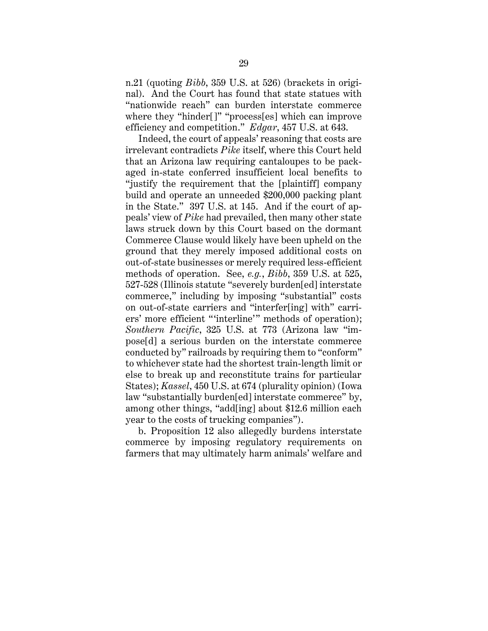n.21 (quoting *Bibb*, 359 U.S. at 526) (brackets in original). And the Court has found that state statues with "nationwide reach" can burden interstate commerce where they "hinder[]" "process[es] which can improve efficiency and competition." *Edgar*, 457 U.S. at 643.

Indeed, the court of appeals' reasoning that costs are irrelevant contradicts *Pike* itself, where this Court held that an Arizona law requiring cantaloupes to be packaged in-state conferred insufficient local benefits to "justify the requirement that the [plaintiff] company build and operate an unneeded \$200,000 packing plant in the State." 397 U.S. at 145. And if the court of appeals' view of *Pike* had prevailed, then many other state laws struck down by this Court based on the dormant Commerce Clause would likely have been upheld on the ground that they merely imposed additional costs on out-of-state businesses or merely required less-efficient methods of operation. See, *e.g.*, *Bibb*, 359 U.S. at 525, 527-528 (Illinois statute "severely burden[ed] interstate commerce," including by imposing "substantial" costs on out-of-state carriers and "interfer[ing] with" carriers' more efficient "'interline'" methods of operation); *Southern Pacific*, 325 U.S. at 773 (Arizona law "impose[d] a serious burden on the interstate commerce conducted by" railroads by requiring them to "conform" to whichever state had the shortest train-length limit or else to break up and reconstitute trains for particular States); *Kassel*, 450 U.S. at 674 (plurality opinion) (Iowa law "substantially burden[ed] interstate commerce" by, among other things, "add[ing] about \$12.6 million each year to the costs of trucking companies").

b. Proposition 12 also allegedly burdens interstate commerce by imposing regulatory requirements on farmers that may ultimately harm animals' welfare and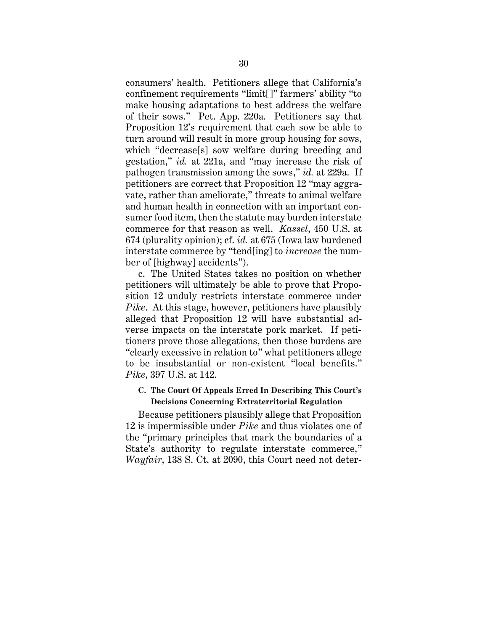consumers' health. Petitioners allege that California's confinement requirements "limit[]" farmers' ability "to make housing adaptations to best address the welfare of their sows." Pet. App. 220a. Petitioners say that Proposition 12's requirement that each sow be able to turn around will result in more group housing for sows, which "decrease[s] sow welfare during breeding and gestation," *id.* at 221a, and "may increase the risk of pathogen transmission among the sows," *id.* at 229a. If petitioners are correct that Proposition 12 "may aggravate, rather than ameliorate," threats to animal welfare and human health in connection with an important consumer food item, then the statute may burden interstate commerce for that reason as well. *Kassel*, 450 U.S. at 674 (plurality opinion); cf. *id.* at 675 (Iowa law burdened interstate commerce by "tend[ing] to *increase* the number of [highway] accidents").

c. The United States takes no position on whether petitioners will ultimately be able to prove that Proposition 12 unduly restricts interstate commerce under *Pike*. At this stage, however, petitioners have plausibly alleged that Proposition 12 will have substantial adverse impacts on the interstate pork market. If petitioners prove those allegations, then those burdens are "clearly excessive in relation to" what petitioners allege to be insubstantial or non-existent "local benefits." *Pike*, 397 U.S. at 142.

## <span id="page-36-0"></span>**C. The Court Of Appeals Erred In Describing This Court's Decisions Concerning Extraterritorial Regulation**

Because petitioners plausibly allege that Proposition 12 is impermissible under *Pike* and thus violates one of the "primary principles that mark the boundaries of a State's authority to regulate interstate commerce," *Wayfair*, 138 S. Ct. at 2090, this Court need not deter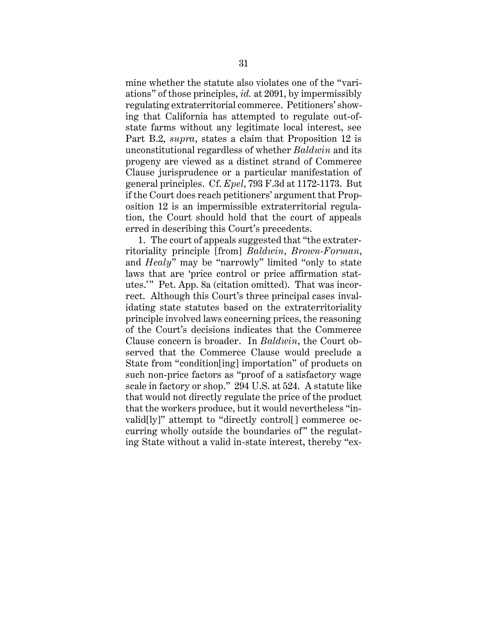mine whether the statute also violates one of the "variations" of those principles, *id.* at 2091, by impermissibly regulating extraterritorial commerce. Petitioners' showing that California has attempted to regulate out-ofstate farms without any legitimate local interest, see Part B.2, *supra*, states a claim that Proposition 12 is unconstitutional regardless of whether *Baldwin* and its progeny are viewed as a distinct strand of Commerce Clause jurisprudence or a particular manifestation of general principles. Cf. *Epel*, 793 F.3d at 1172-1173. But if the Court does reach petitioners' argument that Proposition 12 is an impermissible extraterritorial regulation, the Court should hold that the court of appeals erred in describing this Court's precedents.

1. The court of appeals suggested that "the extraterritoriality principle [from] *Baldwin*, *Brown-Forman*, and *Healy*" may be "narrowly" limited "only to state laws that are 'price control or price affirmation statutes.'" Pet. App. 8a (citation omitted). That was incorrect. Although this Court's three principal cases invalidating state statutes based on the extraterritoriality principle involved laws concerning prices, the reasoning of the Court's decisions indicates that the Commerce Clause concern is broader. In *Baldwin*, the Court observed that the Commerce Clause would preclude a State from "condition[ing] importation" of products on such non-price factors as "proof of a satisfactory wage scale in factory or shop." 294 U.S. at 524. A statute like that would not directly regulate the price of the product that the workers produce, but it would nevertheless "invalid[ly]" attempt to "directly control[] commerce occurring wholly outside the boundaries of" the regulating State without a valid in-state interest, thereby "ex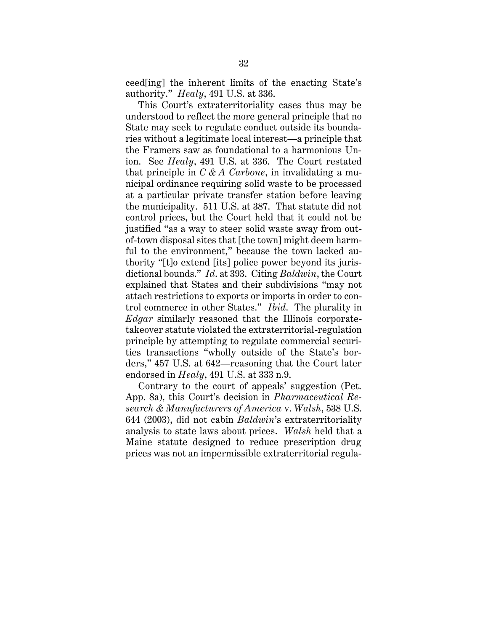ceed[ing] the inherent limits of the enacting State's authority." *Healy*, 491 U.S. at 336.

This Court's extraterritoriality cases thus may be understood to reflect the more general principle that no State may seek to regulate conduct outside its boundaries without a legitimate local interest—a principle that the Framers saw as foundational to a harmonious Union. See *Healy*, 491 U.S. at 336. The Court restated that principle in *C & A Carbone*, in invalidating a municipal ordinance requiring solid waste to be processed at a particular private transfer station before leaving the municipality. 511 U.S. at 387. That statute did not control prices, but the Court held that it could not be justified "as a way to steer solid waste away from outof-town disposal sites that [the town] might deem harmful to the environment," because the town lacked authority "[t]o extend [its] police power beyond its jurisdictional bounds." *Id*. at 393. Citing *Baldwin*, the Court explained that States and their subdivisions "may not attach restrictions to exports or imports in order to control commerce in other States." *Ibid*. The plurality in *Edgar* similarly reasoned that the Illinois corporatetakeover statute violated the extraterritorial-regulation principle by attempting to regulate commercial securities transactions "wholly outside of the State's borders," 457 U.S. at 642—reasoning that the Court later endorsed in *Healy*, 491 U.S. at 333 n.9.

Contrary to the court of appeals' suggestion (Pet. App. 8a), this Court's decision in *Pharmaceutical Research & Manufacturers of America* v. *Walsh*, 538 U.S. 644 (2003), did not cabin *Baldwin*'s extraterritoriality analysis to state laws about prices. *Walsh* held that a Maine statute designed to reduce prescription drug prices was not an impermissible extraterritorial regula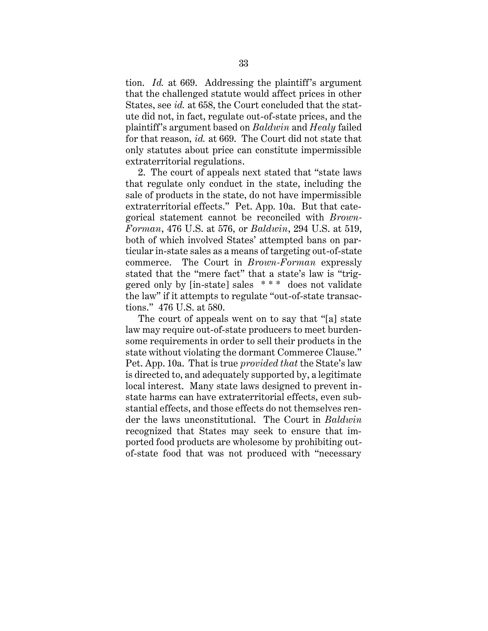tion. *Id.* at 669. Addressing the plaintiff's argument that the challenged statute would affect prices in other States, see *id.* at 658, the Court concluded that the statute did not, in fact, regulate out-of-state prices, and the plaintiff's argument based on *Baldwin* and *Healy* failed for that reason, *id.* at 669. The Court did not state that only statutes about price can constitute impermissible extraterritorial regulations.

2. The court of appeals next stated that "state laws that regulate only conduct in the state, including the sale of products in the state, do not have impermissible extraterritorial effects." Pet. App. 10a. But that categorical statement cannot be reconciled with *Brown-Forman*, 476 U.S. at 576, or *Baldwin*, 294 U.S. at 519, both of which involved States' attempted bans on particular in-state sales as a means of targeting out-of-state commerce. The Court in *Brown-Forman* expressly stated that the "mere fact" that a state's law is "triggered only by [in-state] sales \* \* \* does not validate the law" if it attempts to regulate "out-of-state transactions." 476 U.S. at 580.

The court of appeals went on to say that "[a] state law may require out-of-state producers to meet burdensome requirements in order to sell their products in the state without violating the dormant Commerce Clause." Pet. App. 10a. That is true *provided that* the State's law is directed to, and adequately supported by, a legitimate local interest. Many state laws designed to prevent instate harms can have extraterritorial effects, even substantial effects, and those effects do not themselves render the laws unconstitutional. The Court in *Baldwin* recognized that States may seek to ensure that imported food products are wholesome by prohibiting outof-state food that was not produced with "necessary